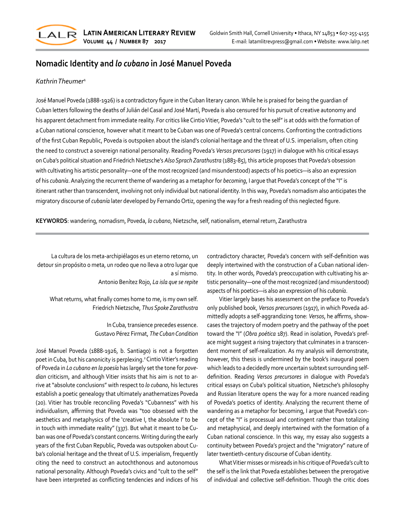

## **Nomadic Identity and** *lo cubano* **in José Manuel Poveda**

## *Kathrin Theumer*<sup>1</sup>

José Manuel Poveda (1888-1926) is a contradictory figure in the Cuban literary canon. While he is praised for being the guardian of Cuban letters following the deaths of Julián del Casal and José Martí, Poveda is also censured for his pursuit of creative autonomy and his apparent detachment from immediate reality. For critics like Cintio Vitier, Poveda's "cult to the self" is at odds with the formation of a Cuban national conscience, however what it meant to be Cuban was one of Poveda's central concerns. Confronting the contradictions of the first Cuban Republic, Poveda is outspoken about the island's colonial heritage and the threat of U.S. imperialism, often citing the need to construct a sovereign national personality. Reading Poveda's *Versos precursores* (1917) in dialogue with his critical essays on Cuba's political situation and Friedrich Nietzsche's *Also Sprach Zarathustra* (1883-85), this article proposes that Poveda's obsession with cultivating his artistic personality—one of the most recognized (and misunderstood) aspects of his poetics—is also an expression of his *cubanía*. Analyzing the recurrent theme of wandering as a metaphor for *becoming*, I argue that Poveda's concept of the "I" is itinerant rather than transcendent, involving not only individual but national identity. In this way, Poveda's nomadism also anticipates the migratory discourse of *cubanía* later developed by Fernando Ortiz, opening the way for a fresh reading of this neglected figure.

**KEYWORDS**: wandering, nomadism, Poveda, *lo cubano*, Nietzsche, self, nationalism, eternal return, Zarathustra

 La cultura de los meta-archipiélagos es un eterno retorno, un detour sin propósito o meta, un rodeo que no lleva a otro lugar que a sí mismo.

Antonio Benítez Rojo, *La isla que se repite*

What returns, what finally comes home to me, is my own self. Friedrich Nietzsche, *Thus Spoke Zarathustra*

> In Cuba, transience precedes essence. Gustavo Pérez Firmat, *The Cuban Condition*

José Manuel Poveda (1888-1926, b. Santiago) is not a forgotten poet in Cuba, but his canonicity is perplexing.<sup>2</sup> Cintio Vitier's reading of Poveda in *Lo cubano en la poesía* has largely set the tone for *povedian* criticism, and although Vitier insists that his aim is not to ar‐ rive at "absolute conclusions" with respect to *lo cubano*, his lectures establish a poetic genealogy that ultimately anathematizes Poveda (20). Vitier has trouble reconciling Poveda's "Cubanness" with his individualism, affirming that Poveda was "too obsessed with the aesthetics and metaphysics of the 'creative I, the absolute I' to be in touch with immediate reality" (337). But what it meant to be Cu‐ ban was one of Poveda's constant concerns. Writing during the early years of the first Cuban Republic, Poveda was outspoken about Cu‐ ba's colonial heritage and the threat of U.S. imperialism, frequently citing the need to construct an autochthonous and autonomous national personality. Although Poveda's civics and "cult to the self" have been interpreted as conflicting tendencies and indices of his

contradictory character, Poveda's concern with self-definition was deeply intertwined with the construction of a Cuban national iden‐ tity. In other words, Poveda's preoccupation with cultivating his ar‐ tistic personality—one of the most recognized (and misunderstood) aspects of his poetics—is also an expression of his *cubanía*.

Vitier largely bases his assessment on the preface to Poveda's only published book, *Versos precursores* (1917), in which Poveda ad‐ mittedly adopts a self-aggrandizing tone: *Versos*, he affirms, show‐ cases the trajectory of modern poetry and the pathway of the poet toward the "I" (*Obra poética* 187). Read in isolation, Poveda's pref‐ ace might suggest a rising trajectory that culminates in a transcendent moment of self-realization. As my analysis will demonstrate, however, this thesis is undermined by the book's inaugural poem which leads to a decidedly more uncertain subtext surrounding selfdefinition. Reading *Versos precursores* in dialogue with Poveda's critical essays on Cuba's political situation, Nietzsche's philosophy and Russian literature opens the way for a more nuanced reading of Poveda's poetics of identity. Analyzing the recurrent theme of wandering as a metaphor for becoming, I argue that Poveda's con‐ cept of the "I" is processual and contingent rather than totalizing and metaphysical, and deeply intertwined with the formation of a Cuban national conscience. In this way, my essay also suggests a continuity between Poveda's project and the "migratory" nature of later twentieth-century discourse of Cuban identity.

What Vitier misses or misreads in his critique of Poveda's cult to the self is the link that Poveda establishes between the prerogative of individual and collective self-definition. Though the critic does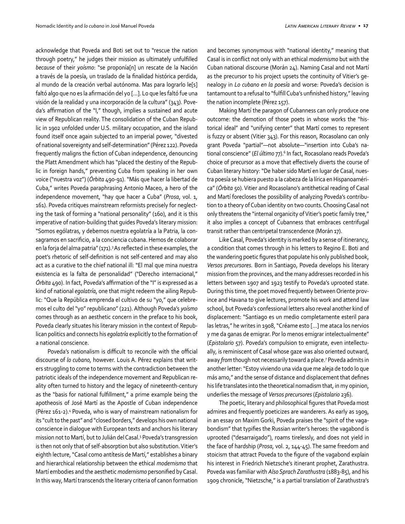acknowledge that Poveda and Boti set out to "rescue the nation through poetry," he judges their mission as ultimately unfulfilled *because* of their *yoísmo*: "se proponía[n] un rescate de la Nación a través de la poesía, un traslado de la finalidad histórica perdida, al mundo de la creación verbal autónoma. Mas para lograrlo le[s] faltó algo que no es la afirmación del yo […]. Lo que les faltó fue una visión de la realidad y una incorporación de la cultura" (343). Pove‐ da's affirmation of the "I," though, implies a sustained and acute view of Republican reality. The consolidation of the Cuban Repub‐ lic in 1902 unfolded under U.S. military occupation, and the island found itself once again subjected to an imperial power, "divested of national sovereignty and self-determination" (Pérez 122). Poveda frequently maligns the fiction of Cuban independence, denouncing the Platt Amendment which has "placed the destiny of the Repub‐ lic in foreign hands," preventing Cuba from speaking in her own voice ("nuestra voz") (*Órbita* 490-91). "Más que hacer la libertad de Cuba," writes Poveda paraphrasing Antonio Maceo, a hero of the independence movement, "hay que hacer a Cuba" (*Prosa*, vol. 1, 161). Poveda critiques mainstream reformists precisely for neglect‐ ing the task of forming a "national personality" (160), and it is this imperative of nation-building that guides Poveda's literary mission: "Somos ególatras, y debemos nuestra egolatría a la Patria, la con‐ sagramos en sacrificio, a la conciencia cubana. Hemos de colaborar en la forja del alma patria" (171).<sup>3</sup> As reflected in these examples, the poet's rhetoric of self-definition is not self-centered and may also act as a curative to the chief national ill: "El mal que mina nuestra existencia es la falta de personalidad" ("Derecho internacional," *Órbita* 490). In fact, Poveda's affirmation of the "I" is expressed as a kind of national *egolatría*, one that might redeem the ailing Repub‐ lic: "Que la República emprenda el cultivo de su "yo," que celebre‐ mos el culto del "yo" republicano" (221). Although Poveda's *yoísmo*  comes through as an aesthetic concern in the preface to his book, Poveda clearly situates his literary mission in the context of Repub‐ lican politics and connects his *egolatría* explicitly to the formation of a national conscience.

Poveda's nationalism is difficult to reconcile with the official discourse of *lo cubano,* however. Louis A. Pérez explains that writ‐ ers struggling to come to terms with the contradiction between the patriotic ideals of the independence movement and Republican re‐ ality often turned to history and the legacy of nineteenth-century as the "basis for national fulfillment," a prime example being the apotheosis of José Martí as the Apostle of Cuban independence (Pérez 161-2).<sup>4</sup> Poveda, who is wary of mainstream nationalism for its "cult to the past" and "closed borders," develops his own national conscience in dialogue with European texts and anchors his literary mission not to Martí, but to Julián del Casal.5 Poveda's transgression is then not only that of self-absorption but also substitution. Vitier's eighth lecture, "Casal como antítesis de Martí," establishes a binary and hierarchical relationship between the ethical *modernismo* that Martí embodies and the aesthetic *modernismo* personified by Casal. In this way, Martí transcends the literary criteria of canon formation and becomes synonymous with "national identity," meaning that Casal is in conflict not only with an ethical *modernismo* but with the Cuban national discourse (Morán 24). Naming Casal and not Martí as the precursor to his project upsets the continuity of Vitier's ge‐ nealogy in *Lo cubano en la poesía* and worse: Poveda's decision is tantamount to a refusal to "fulfill Cuba's unfinished history," leaving the nation incomplete (Pérez 157).

Making Martí the paragon of Cubanness can only produce one outcome: the demotion of those poets in whose works the "his‐ torical ideal" and "unifying center" that Martí comes to represent is fuzzy or absent (Vitier 343). For this reason, Rocasolano can only grant Poveda "partial"—not absolute—"insertion into Cuba's na‐ tional conscience" (*El último* 77).<sup>6</sup> In fact, Rocasolano reads Poveda's choice of precursor as a move that effectively diverts the course of Cuban literary history: "De haber sido Martí en lugar de Casal, nues‐ tra poesía se hubiera puesto a la cabeza de la lírica en Hispanoaméri‐ ca" (*Órbita* 50). Vitier and Rocasolano's antithetical reading of Casal and Martí forecloses the possibility of analyzing Poveda's contribu‐ tion to a theory of Cuban identity on two counts. Choosing Casal not only threatens the "internal organicity of Vitier's poetic family tree," it also implies a concept of Cubanness that embraces centrifugal transit rather than centripetal transcendence (Morán 17).

Like Casal, Poveda's identity is marked by a sense of itinerancy, a condition that comes through in his letters to Regino E. Boti and the wandering poetic figures that populate his only published book, *Versos precursores.* Born in Santiago, Poveda develops his literary mission from the provinces, and the many addresses recorded in his letters between 1907 and 1923 testify to Poveda's uprooted state. During this time, the poet moved frequently between Oriente prov‐ ince and Havana to give lectures, promote his work and attend law school, but Poveda's confessional letters also reveal another kind of displacement: "Santiago es un medio completamente esteril para las letras," he writes in 1908, "Créame esto […] me ataca los nervios y me da ganas de emigrar. Por lo menos emigrar intelectualmente" (*Epistolario* 57). Poveda's compulsion to emigrate, even intellectu‐ ally, is reminiscent of Casal whose gaze was also oriented outward, away *from* though not necessarily toward a place.<sup>7</sup> Poveda admits in another letter: "Estoy viviendo una vida que me aleja de todo lo que más amo," and the sense of distance and displacement that defines his life translates into the theoretical nomadism that, in my opinion, underlies the message of *Versos precursores* (*Epistolario* 236).

The poetic, literary and philosophical figures that Poveda most admires and frequently poeticizes are wanderers. As early as 1909, in an essay on Maxim Gorki, Poveda praises the "spirit of the vaga‐ bondism" that typifies the Russian writer's heroes: the vagabond is uprooted ("desarraigado"), roams tirelessly, and does not yield in the face of hardship (*Prosa*, vol. 2, 144-45). The same freedom and stoicism that attract Poveda to the figure of the vagabond explain his interest in Friedrich Nietzsche's itinerant prophet, Zarathustra. Poveda was familiar with *Also Sprach Zarathustra* (1883-85), and his 1909 chronicle, "Nietzsche," is a partial translation of Zarathustra's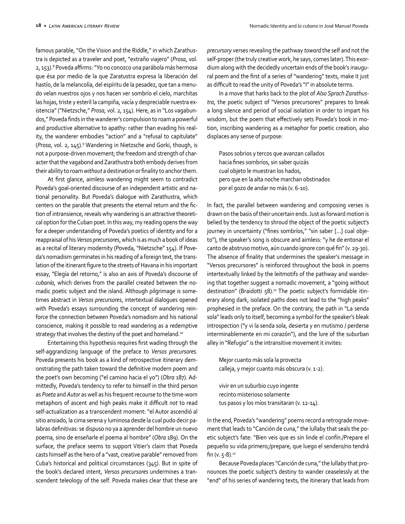famous parable, "On the Vision and the Riddle," in which Zarathus‐ tra is depicted as a traveler and poet, "extraño viajero" (*Prosa*, vol. 2, 153).<sup>8</sup> Poveda affirms: "Yo no conozco una parábola más hermosa que ésa por medio de la que Zaratustra expresa la liberación del hastío, de la melancolía, del espíritu de la pesadez, que tan a menu‐ do velan nuestros ojos y nos hacen ver sombrío el cielo, marchitas las hojas, triste y esteril la campiña, vacía y despreciable nuestra ex‐ istencia" ("Nietzsche," *Prosa*, vol. 2, 154). Here, as in "Los vagabun‐ dos," Poveda finds in the wanderer's compulsion to roam a powerful and productive alternative to apathy: rather than evading his reality, the wanderer embodies "action" and a "refusal to capitulate" (*Prosa*, vol. 2, 145).9 Wandering in Nietzsche and Gorki, though, is not a purpose-driven movement; the freedom and strength of character that the vagabond and Zarathustra both embody derives from their ability to roam *without* a destination or finality to anchor them.

At first glance, aimless wandering might seem to contradict Poveda's goal-oriented discourse of an independent artistic and na‐ tional personality. But Poveda's dialogue with Zarathustra, which centers on the parable that presents the eternal return and the fic‐ tion of intransience, reveals why wandering is an attractive theoreti‐ cal option for the Cuban poet. In this way, my reading opens the way for a deeper understanding of Poveda's poetics of identity and for a reappraisal of his *Versos precursores*, which is as much a book of ideas as a recital of literary modernity (Poveda, "Nietzsche" 154). If Pove‐ da's nomadism germinates in his reading of a foreign text, the trans‐ lation of the itinerant figure to the streets of Havana in his important essay, "Elegía del retorno," is also an axis of Poveda's discourse of *cubanía*, which derives from the parallel created between the no‐ madic poetic subject and the island. Although pilgrimage is some‐ times abstract in *Versos precursores*, intertextual dialogues opened with Poveda's essays surrounding the concept of wandering rein‐ force the connection between Poveda's nomadism and his national conscience, making it possible to read wandering as a redemptive strategy that involves the destiny of the poet and homeland.<sup>10</sup>

Entertaining this hypothesis requires first wading through the self-aggrandizing language of the preface to *Versos precursores.*  Poveda presents his book as a kind of retrospective itinerary dem‐ onstrating the path taken toward the definitive modern poem and the poet's own becoming ("el camino hacia el yo") (*Obra* 187). Ad‐ mittedly, Poveda's tendency to refer to himself in the third person as *Poeta* and *Autor* as well as his frequent recourse to the time-worn metaphors of ascent and high peaks make it difficult *not* to read self-actualization as a transcendent moment: "el Autor ascendió al sitio ansiado, la cima serena y luminosa desde la cual pudo decir pa‐ labras definitivas: se dispuso no ya a aprender del hombre un nuevo poema, sino de enseñarle el poema al hombre" (*Obra* 189). On the surface, the preface seems to support Vitier's claim that Poveda casts himself as the hero of a "vast, creative parable" removed from Cuba's historical and political circumstances (345). But in spite of the book's declared intent, *Versos precursores* undermines a tran‐ scendent teleology of the self. Poveda makes clear that these are *precursory* verses revealing the pathway *toward* the self and not the self-proper (the truly creative work, he says, comes later). This exordium along with the decidedly uncertain ends of the book's inaugu‐ ral poem and the first of a series of "wandering" texts, make it just as difficult to read the unity of Poveda's "I" in absolute terms.

In a move that harks back to the plot of *Also Sprach Zarathustra*, the poetic subject of "Versos precursores" prepares to break a long silence and period of social isolation in order to impart his wisdom, but the poem that effectively sets Poveda's book in motion, inscribing wandering as a metaphor for poetic creation, also displaces any sense of purpose:

Pasos sobrios y tercos que avanzan callados hacia fines sombríos, sin saber quizás cual objeto le muestran los hados, pero que en la alta noche marchan obstinados por el gozo de andar no más (v. 6-10).

In fact, the parallel between wandering and composing verses is drawn on the basis of their uncertain ends. Just as forward motion is belied by the tendency to shroud the object of the poetic subject's journey in uncertainty ("fines sombríos," "sin saber […] cual obje‐ to"), the speaker's song is obscure and aimless: "y he de entonar el canto de abstruso motivo, aún cuando ignore con qué fin" (v. 29-30). The absence of finality that undermines the speaker's message in "Versos precursores" is reinforced throughout the book in poems intertextually linked by the leitmotifs of the pathway and wander‐ ing that together suggest a nomadic movement, a "going without destination" (Braidotti 58).<sup>11</sup> The poetic subject's formidable itinerary along dark, isolated paths does not lead to the "high peaks" prophesied in the preface. On the contrary, the path in "La senda sola" leads only to itself, becoming a symbol for the speaker's bleak introspection ("y vi la senda sola, desierta y en mutismo / perderse interminablemente en mi corazón"), and the lure of the suburban alley in "Refugio" is the intransitive movement it invites:

Mejor cuanto más sola la provecta calleja, y mejor cuanto más obscura (v. 1-2).

vivir en un suburbio cuyo ingente recinto misterioso solamente tus pasos y los míos transitaran (v. 12-14).

In the end, Poveda's "wandering" poems record a retrograde move‐ ment that leads to "Canción de cuna," the lullaby that seals the poetic subject's fate: "Bien veis que es sin linde el confín./Prepare el pequeño su vida primero;/prepare, que luego el sendero/no tendrá fin (v.  $5-8$ ).<sup>12</sup>

Because Poveda places "Canción de cuna," the lullaby that pro‐ nounces the poetic subject's destiny to wander ceaselessly at the "end" of his series of wandering texts, the itinerary that leads from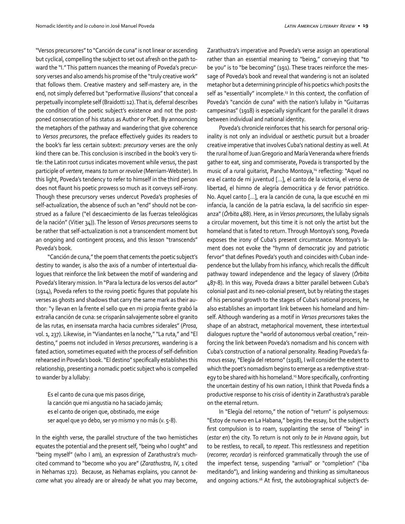"Versos precursores" to "Canción de cuna" is not linear or ascending but cyclical, compelling the subject to set out afresh on the path to‐ ward the "I." This pattern nuances the meaning of Poveda's precur‐ sory verses and also amends his promise of the "truly creative work" that follows them. Creative mastery and self-mastery are, in the end, not simply deferred but "performative illusions" that conceal a perpetually incomplete self (Braidotti 12). That is, deferral describes the condition of the poetic subject's existence and not the postponed consecration of his status as Author or Poet. By announcing the metaphors of the pathway and wandering that give coherence to *Versos precursores*, the preface effectively guides its readers to the book's far less certain subtext: *precursory* verses are the only kind there can be. This conclusion is inscribed in the book's very title: the Latin root *cursus* indicates movement while *versus*, the past participle of *vertere*, means *to turn* or *revolve* (Merriam-Webster). In this light, Poveda's tendency to refer to himself in the third person does not flaunt his poetic prowess so much as it conveys self-irony. Though these precursory verses undercut Poveda's prophesies of self-actualization, the absence of such an "end" should not be construed as a failure ("el descaecimiento de las fuerzas teleológicas de la nación" (Vitier 34)). The lesson of *Versos precursores* seems to be rather that self-actualization is not a transcendent moment but an ongoing and contingent process, and this lesson "transcends" Poveda's book.

"Canción de cuna," the poem that cements the poetic subject's destiny to wander, is also the axis of a number of intertextual dia‐ logues that reinforce the link between the motif of wandering and Poveda's literary mission. In "Para la lectura de los versos del autor" (1914), Poveda refers to the roving poetic figures that populate his verses as ghosts and shadows that carry the same mark as their au‐ thor: "y llevan en la frente el sello que en mi propia frente grabó la extraña canción de cuna: se crisparán salvajemente sobre el granito de las rutas, en insensata marcha hacia cumbres siderales" (*Prosa*, vol. 1, 237). Likewise, in "Viandantes en la noche," "La ruta," and "El destino," poems not included in *Versos precursores*, wandering is a fated action, sometimes equated with the process of self-definition rehearsed in Poveda's book. "El destino" specifically establishes this relationship, presenting a nomadic poetic subject who is compelled to wander by a lullaby:

Es el canto de cuna que mis pasos dirige, la canción que mi angustia no ha saciado jamás; es el canto de origen que, obstinado, me exige ser aquel que yo debo, ser yo mismo y no más (v. 5-8).

In the eighth verse, the parallel structure of the two hemistiches equates the potential and the present self, "being who I ought" and "being myself" (who I am), an expression of Zarathustra's muchcited command to "become who you are" (*Zarathustra*, IV, 1 cited in Nehamas 172). Because, as Nehamas explains, you cannot *become* what you already are or already *be* what you may become,

Zarathustra's imperative and Poveda's verse assign an operational rather than an essential meaning to "being," conveying that "to be you" is to "be becoming" (191). These traces reinforce the mes‐ sage of Poveda's book and reveal that wandering is not an isolated metaphor but a determining principle of his poetics which posits the self as "essentially" incomplete.<sup>13</sup> In this context, the conflation of Poveda's "canción de cuna" with the nation's lullaby in "Guitarras campesinas" (1918) is especially significant for the parallel it draws between individual and national identity.

Poveda's chronicle reinforces that his search for personal orig‐ inality is not only an individual or aesthetic pursuit but a broader creative imperative that involves Cuba's national destiny as well. At the rural home of Juan Gregorio and María Veneranda where friends gather to eat, sing and commiserate, Poveda is transported by the music of a rural guitarist, Pancho Montoya,<sup>14</sup> reflecting: "Aquel no era el canto de mi juventud […], el canto de la victoria, el verso de libertad, el himno de alegría democrática y de fervor patriótico. No. Aquel canto […], era la canción de cuna, la que escuché en mi infancia, la canción de la patria esclava, la del sacrificio sin esper‐ anza" (*Órbita* 488). Here, as in *Versos precursores*, the lullaby signals a circular movement, but this time it is not only the artist but the homeland that is fated to return. Through Montoya's song, Poveda exposes the irony of Cuba's present circumstance. Montoya's la‐ ment does not evoke the "hymn of democratic joy and patriotic fervor" that defines Poveda's youth and coincides with Cuban inde‐ pendence but the lullaby from his infancy, which recalls the difficult pathway toward independence and the legacy of slavery (*Órbita* 487-8). In this way, Poveda draws a bitter parallel between Cuba's colonial past and its neo-colonial present, but by relating the stages of his personal growth to the stages of Cuba's national process, he also establishes an important link between his homeland and him‐ self. Although wandering as a motif in *Versos precursores* takes the shape of an abstract, metaphorical movement, these intertextual dialogues rupture the "world of autonomous verbal creation," rein‐ forcing the link between Poveda's nomadism and his concern with Cuba's construction of a national personality. Reading Poveda's fa‐ mous essay, "Elegía del retorno" (1918), I will consider the extent to which the poet's nomadism begins to emerge as a redemptive strat‐ egy to be shared with his homeland.<sup>15</sup> More specifically, confronting the uncertain destiny of his own nation, I think that Poveda finds a productive response to his crisis of identity in Zarathustra's parable on the eternal return.

In "Elegía del retorno," the notion of "return" is polysemous: "Estoy de nuevo en La Habana," begins the essay, but the subject's first compulsion is to roam, supplanting the sense of "being" in (*estar en*) the city. To return is not only *to be in Havana again*, but to be restless, to recall, to *repeat*. This restlessness and repetition (*recorrer, recordar*) is reinforced grammatically through the use of the imperfect tense, suspending "arrival" or "completion" ("iba meditando"), and linking wandering and thinking as simultaneous and ongoing actions.<sup>16</sup> At first, the autobiographical subject's de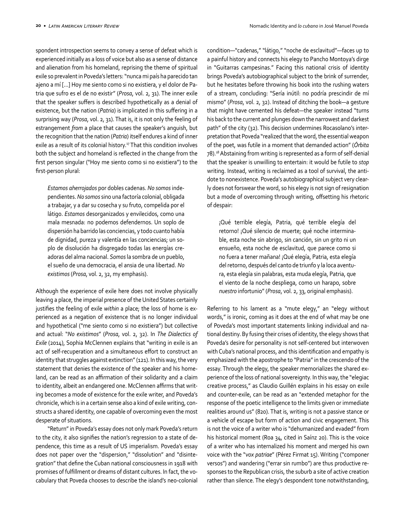spondent introspection seems to convey a sense of defeat which is experienced initially as a loss of voice but also as a sense of distance and alienation from his homeland, reprising the theme of spiritual exile so prevalent in Poveda's letters: "nunca mi país ha parecido tan ajeno a mí […] Hoy me siento como si no existiera, y el dolor de Pa‐ tria que sufro es el de no existir" (*Prosa*, vol. 2, 31). The inner exile that the speaker suffers is described hypothetically as a denial of existence, but the nation (*Patria*) is implicated in this suffering in a surprising way (*Prosa*, vol. 2, 31). That is, it is not only the feeling of estrangement *from* a place that causes the speaker's anguish, but the recognition that the nation (*Patria*) itself endures a kind of inner exile as a result of its colonial history.<sup>17</sup> That this condition involves both the subject and homeland is reflected in the change from the first person singular ("Hoy me siento como si no existiera") to the first-person plural:

*Estamos aherrojados* por dobles cadenas. *No somos* inde‐ pendientes. *No somos* sino una factoría colonial, obligada a trabajar, y a dar su cosecha y su fruto, compelida por el látigo. *Estamos* desorganizados y envilecidos, como una mala mesnada: no podemos defendernos. Un soplo de dispersión ha barrido las conciencias, y todo cuanto había de dignidad, pureza y valentía en las conciencias; un so‐ plo de disolución ha disgregado todas las energías cre‐ adoras del alma nacional. *Somos* la sombra de un pueblo, el sueño de una democracia, el ansia de una libertad. *No existimos* (*Prosa*, vol. 2, 32, my emphasis).

Although the experience of exile here does not involve physically leaving a place, the imperial presence of the United States certainly justifies the feeling of exile within a place; the loss of home is experienced as a negation of existence that is no longer individual and hypothetical ("me siento como si no existiera") but collective and actual: "*No existimos*" (*Prosa*, vol. 2, 32). In *The Dialectics of Exile* (2014), Sophia McClennen explains that "writing in exile is an act of self-recuperation and a simultaneous effort to construct an identity that struggles against extinction" (121). In this way, the very statement that denies the existence of the speaker and his home‐ land, can be read as an affirmation of their solidarity and a claim to identity, albeit an endangered one. McClennen affirms that writing becomes a mode of existence for the exile writer, and Poveda's chronicle, which is in a certain sense also a kind of exile writing, con‐ structs a shared identity, one capable of overcoming even the most desperate of situations.

"Return" in Poveda's essay does not only mark Poveda's return to the city, it also signifies the nation's regression to a state of de‐ pendence, this time as a result of US imperialism. Poveda's essay does not paper over the "dispersion," "dissolution" and "disinte‐ gration" that define the Cuban national consciousness in 1918 with promises of fulfillment or dreams of distant cultures. In fact, the vocabulary that Poveda chooses to describe the island's neo-colonial

condition—"cadenas," "látigo," "noche de esclavitud"—faces up to a painful history and connects his elegy to Pancho Montoya's dirge in "Guitarras campesinas." Facing this national crisis of identity brings Poveda's autobiographical subject to the brink of surrender, but he hesitates before throwing his book into the rushing waters of a stream, concluding: "Sería inútil: no podría prescindir de mí mismo" (*Prosa*, vol. 2, 32). Instead of ditching the book—a gesture that might have cemented his defeat—the speaker instead "turns his back to the current and plunges down the narrowest and darkest path" of the city (32). This decision undermines Rocasolano's interpretation that Poveda "realized that the word, the essential weapon of the poet, was futile in a moment that demanded action" (*Órbita* 78).18 Abstaining from writing is represented as a form of self-denial that the speaker is unwilling to entertain: it would be futile to *stop* writing. Instead, writing is reclaimed as a tool of survival, the anti‐ dote to nonexistence. Poveda's autobiographical subject very clear‐ ly does not forswear the word, so his elegy is not sign of resignation but a mode of overcoming through writing, offsetting his rhetoric of despair:

¡Qué terrible elegía, Patria, qué terrible elegía del retorno! ¡Qué silencio de muerte; qué noche interminable, esta noche sin abrigo, sin canción, sin un grito ni un ensueño, esta noche de esclavitud, que parece como si no fuera a tener mañana! ¡Qué elegía, Patria, esta elegía del retorno, después del canto de triunfo y la loca aventu‐ ra, esta elegía sin palabras, esta muda elegía, Patria, que el viento de la noche despliega, como un harapo, sobre *nuestro* infortunio" (*Prosa*, vol. 2, 33, original emphasis).

Referring to his lament as a "mute elegy," an "elegy without words," is ironic, coming as it does at the end of what may be one of Poveda's most important statements linking individual and na‐ tional destiny. By fusing their crises of identity, the elegy shows that Poveda's desire for personality is not self-centered but interwoven with Cuba's national process, and this identification and empathy is emphasized with the apostrophe to "Patria" in the crescendo of the essay. Through the elegy, the speaker memorializes the shared ex‐ perience of the loss of national sovereignty. In this way, the "elegiac creative process," as Claudio Guillén explains in his essay on exile and counter-exile, can be read as an "extended metaphor for the response of the poetic intelligence to the limits given or immediate realities around us" (820). That is, writing is not a passive stance or a vehicle of escape but form of action and civic engagement. This is not the voice of a writer who is "dehumanized and evaded" from his historical moment (Roa 34, cited in Saínz 20). This is the voice of a writer who has internalized his moment and merged his own voice with the "*vox patriae*" (Pérez Firmat 15). Writing ("componer versos") and wandering ("errar sin rumbo") are thus productive re‐ sponses to the Republican crisis, the suburb a site of active creation rather than silence. The elegy's despondent tone notwithstanding,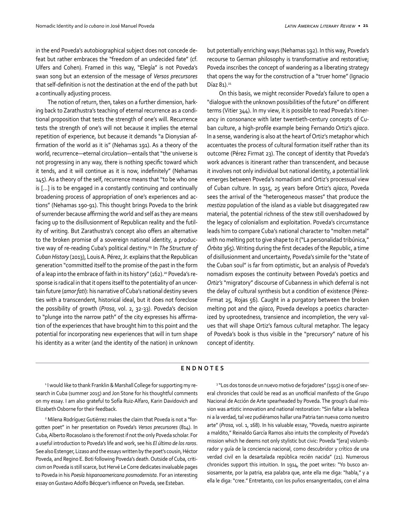in the end Poveda's autobiographical subject does not concede de‐ feat but rather embraces the "freedom of an undecided fate" (cf. Ulfers and Cohen). Framed in this way, "Elegía" is not Poveda's swan song but an extension of the message of *Versos precursores* that self-definition is not the destination at the end of the path but a continually adjusting process.

The notion of return, then, takes on a further dimension, hark‐ ing back to Zarathustra's teaching of eternal recurrence as a condi‐ tional proposition that tests the strength of one's will. Recurrence tests the strength of one's will not because it implies the eternal repetition of experience, but because it demands "a Dionysian af‐ firmation of the world as it is" (Nehamas 191). As a theory of the world, recurrence—eternal circulation—entails that "the universe is not progressing in any way, there is nothing specific toward which it tends, and it will continue as it is now, indefinitely" (Nehamas 145). As a theory of the self, recurrence means that "to be who one is […] is to be engaged in a constantly continuing and continually broadening process of appropriation of one's experiences and ac‐ tions" (Nehamas 190-91). This thought brings Poveda to the brink of surrender because affirming the world and self as they are means facing up to the disillusionment of Republican reality and the futil‐ ity of writing. But Zarathustra's concept also offers an alternative to the broken promise of a sovereign national identity, a produc‐ tive way of re-reading Cuba's political destiny.19 In *The Structure of Cuban History* (2013), Louis A. Pérez, Jr. explains that the Republican generation "committed itself to the promise of the past in the form of a leap into the embrace of faith in its history" (162).<sup>20</sup> Poveda's response is radical in that it opens itself to the potentiality of an uncer‐ tain future (*amor fati*): his narrative of Cuba's national destiny severs ties with a transcendent, historical ideal, but it does not foreclose the possibility of growth (*Prosa*, vol. 2, 32-33). Poveda's decision to "plunge into the narrow path" of the city expresses his affirma‐ tion of the experiences that have brought him to this point and the potential for incorporating new experiences that will in turn shape his identity as a writer (and the identity of the nation) in unknown but potentially enriching ways (Nehamas 192). In this way, Poveda's recourse to German philosophy is transformative and restorative; Poveda inscribes the concept of wandering as a liberating strategy that opens the way for the construction of a "truer home" (Ignacio Díaz 81).<sup>21</sup>

On this basis, we might reconsider Poveda's failure to open a "dialogue with the unknown possibilities of the future" on different terms (Vitier 344). In my view, it is possible to read Poveda's itiner‐ ancy in consonance with later twentieth-century concepts of Cu‐ ban culture, a high-profile example being Fernando Ortiz's *ajiaco*. In a sense, wandering is also at the heart of Ortiz's metaphor which accentuates the process of cultural formation itself rather than its outcome (Pérez Firmat 23). The concept of identity that Poveda's work advances is itinerant rather than transcendent, and because it involves not only individual but national identity, a potential link emerges between Poveda's nomadism and Ortiz's processual view of Cuban culture. In 1915, 25 years before Ortiz's *ajiaco*, Poveda sees the arrival of the "heterogeneous masses" that produce the *mestiza* population of the island as a viable but disaggregated raw material, the potential richness of the stew still overshadowed by the legacy of colonialism and exploitation. Poveda's circumstance leads him to compare Cuba's national character to "molten metal" with no melting pot to give shape to it ("La personalidad tribúnica," *Órbita* 365). Writing during the first decades of the Republic, a time of disillusionment and uncertainty, Poveda's simile for the "state of the Cuban soul" is far from optimistic, but an analysis of Poveda's nomadism exposes the continuity between Poveda's poetics and *Ortiz's* "migratory" discourse of Cubanness in which deferral is not the delay of cultural synthesis but a condition of existence (Pérez-Firmat 25, Rojas 56)*.* Caught in a purgatory between the broken melting pot and the *ajiaco*, Poveda develops a poetics character‐ ized by uprootedness, transience and incompletion, the very values that will shape Ortiz's famous cultural metaphor. The legacy of Poveda's book is thus visible in the "precursory" nature of his concept of identity.

## **ENDNOTES**

<sup>1</sup> I would like to thank Franklin & Marshall College for supporting my research in Cuba (summer 2015) and Jon Stone for his thoughtful comments on my essay. I am also grateful to Sofía Ruiz-Alfaro, Karin Davidovich and Elizabeth Osborne for their feedback.

2 Milena Rodríguez Gutiérrez makes the claim that Poveda is not a "for‐ gotten poet" in her presentation on Poveda's *Versos precursores* (814). In Cuba, Alberto Rocasolano is the foremost if not the only Poveda scholar. For a useful introduction to Poveda's life and work, see his *El último de los raros*. See also Estenger, Lizaso and the essays written by the poet's cousin, Héctor Poveda, and Regino E. Boti following Poveda's death. Outside of Cuba, criti‐ cism on Poveda is still scarce, but Hervé Le Corre dedicates invaluable pages to Poveda in his *Poesía hispanoamericana posmodernista*. For an interesting essay on Gustavo Adolfo Bécquer's influence on Poveda, see Esteban.

<sup>3</sup> "Los dos tonos de un nuevo motivo de forjadores" (1915) is one of several chronicles that could be read as an unofficial manifesto of the Grupo Nacional de Acción de Arte spearheaded by Poveda. The group's dual mis‐ sion was artistic innovation and national restoration: "Sin faltar a la belleza ni a la verdad, tal vez pudiéramos hallar una Patria tan nueva como nuestro arte" (*Prosa*, vol. 1, 168). In his valuable essay, "Poveda, nuestro aspirante a maldito," Reinaldo García Ramos also intuits the complexity of Poveda's mission which he deems not only stylistic but civic: Poveda "[era] vislumb‐ rador y guía de la conciencia nacional, como descubridor y crítico de una verdad civil en la desartalada república recién nacida" (21). Numerous chronicles support this intuition. In 1914, the poet writes: "Yo busco an‐ siosamente, por la patria, esa palabra que, ante ella me diga: "habla," y a ella le diga: "cree." Entretanto, con los puños ensangrentados, con el alma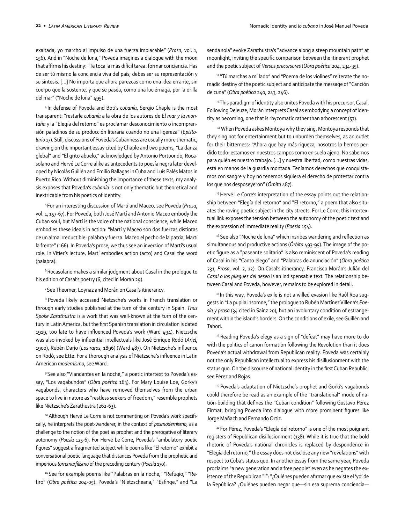exaltada, yo marcho al impulso de una fuerza implacable" (*Prosa*, vol. 1, 156). And in "Noche de luna," Poveda imagines a dialogue with the moon that affirms his destiny: "Te toca la más difícil tarea: formar conciencia. Has de ser tú mismo la conciencia viva del país; debes ser su representación y su síntesis. […] No importa que ahora parezcas como una idea errante, sin cuerpo que la sustente, y que se pasea, como una luciérnaga, por la orilla del mar" ("Noche de luna" 495).

4 In defense of Poveda and Boti's *cubanía*, Sergio Chaple is the most transparent: "restarle *cubanía* a la obra de los autores de E*l mar y la montaña* y la "Elegía del retorno" es proclamar desconocimiento o incompren‐ sión paladinos de su producción literaria cuando no una ligereza" (E*pistolario* 17). Still, discussions of Poveda's Cubanness are usually more thematic, drawing on the important essay cited by Chaple and two poems, "La danza glebal" and "El grito abuelo," acknowledged by Antonio Portuondo, Roca‐ solano and Hervé Le Corre alike as antecedents to poesía negra later devel‐ oped by Nicolás Guillén and Emilio Ballagas in Cuba and Luis Palés Matos in Puerto Rico. Without diminishing the importance of these texts, my analy‐ sis exposes that Poveda's *cubanía* is not only thematic but theoretical and inextricable from his poetics of identity.

5 For an interesting discussion of Martí and Maceo, see Poveda (*Prosa*, vol. 1, 157-67). For Poveda, both José Martí and Antonio Maceo embody the Cuban soul, but Martí is the voice of the national conscience, while Maceo embodies these ideals in action: "Martí y Maceo son dos fuerzas distintas de un alma irreductible: palabra y fuerza. Maceo el pecho de la patria, Martí la frente" (166). In Poveda's prose, we thus see an inversion of Martí's usual role. In Vitier's lecture, Martí embodies action (acto) and Casal the word (palabra).

<sup>6</sup> Rocasolano makes a similar judgment about Casal in the prologue to his edition of Casal's poetry (6, cited in Morán 29).

7 See Theumer, Loynaz and Morán on Casal's itinerancy.

8 Poveda likely accessed Nietzsche's works in French translation or through early studies published at the turn of the century in Spain. *Thus Spoke Zarathustra* is a work that was well-known at the turn of the cen‐ tury in Latin America, but the first Spanish translation in circulation is dated 1919, too late to have influenced Poveda's work (Ward 494). Nietzsche was also invoked by influential intellectuals like José Enrique Rodó (*Ariel*, 1900), Rubén Darío (*Los raros*, 1896) (Ward 487). On Nietzsche's influence on Rodó, see Ette. For a thorough analysis of Nietzsche's influence in Latin American *modernismo*, see Ward.

9 See also "Viandantes en la noche," a poetic intertext to Poveda's es‐ say, "Los vagabundos" (*Obra poética* 163). For Mary Louise Loe, Gorky's vagabonds, characters who have removed themselves from the urban space to live in nature as "restless seekers of freedom," resemble prophets like Nietzsche's Zarathustra (262-63).

10 Although Hervé Le Corre is not commenting on Poveda's work specifically, he interprets the poet-wanderer, in the context of *posmodernismo*, as a challenge to the notion of the poet as prophet and the prerogative of literary autonomy (*Poesía* 125-6). For Hervé Le Corre, Poveda's "ambulatory poetic figures" suggest a fragmented subject while poems like "El retorno" exhibit a conversational poetic language that distances Poveda from the prophetic and imperious *torremarfilismo* of the preceding century (*Poesía* 170).

<sup>11</sup> See for example poems like "Palabras en la noche," "Refugio," "Retiro" (*Obra poética* 204-05). Poveda's "Nietzscheana," "Esfinge," and "La senda sola" evoke Zarathustra's "advance along a steep mountain path" at moonlight, inviting the specific comparison between the itinerant prophet and the poetic subject of *Versos precursores* (*Obra poética* 204, 234-35).

<sup>12</sup> "Tú marchas a mi lado" and "Poema de los violines" reiterate the nomadic destiny of the poetic subject and anticipate the message of "Canción de cuna" (*Obra poética* 240, 243, 246).

<sup>13</sup> This paradigm of identity also unites Poveda with his precursor, Casal. Following Deleuze, Morán interprets Casal as embodying a concept of iden‐ tity as becoming, one that is rhyzomatic rather than arborescent (57).

<sup>14</sup> When Poveda askes Montoya why they sing, Montoya responds that they sing not for entertainment but to unburden themselves, as an outlet for their bitterness: "Ahora que hay más riqueza, nosotros lo hemos per‐ dido todo: estamos en nuestros campos como en suelo ajeno. No sabemos para quién es nuestro trabajo: […] y nuestra libertad, como nuestras vidas, está en manos de la guardia montada. Teníamos derechos que conquistamos con sangre y hoy no tenemos siquiera el derecho de protestar contra los que nos desposeyeron" (*Órbita* 487).

<sup>15</sup> Hervé Le Corre's interpretation of the essay points out the relationship between "Elegía del retorno" and "El retorno," a poem that also situates the roving poetic subject in the city streets. For Le Corre, this intertextual link exposes the tension between the autonomy of the poetic text and the expression of immediate reality (*Poesía* 154).

<sup>16</sup> See also "Noche de luna" which insribes wandering and reflection as simultaneous and productive actions (*Órbita* 493-95). The image of the po‐ etic figure as a "paseante solitario" is also reminiscent of Poveda's reading of Casal in his "Canto élego" and "Palabras de anunciación" (*Obra poética* 231, *Prosa*, vol. 2, 12). On Casal's itinerancy, Francisco Morán's Julián del *Casal o los pliegues del deseo* is an indispensable text. The relationship be‐ tween Casal and Poveda, however, remains to be explored in detail.

<sup>17</sup> In this way, Poveda's exile is not a willed evasion like Raúl Roa suggests in "La pupila insomne," the prologue to Rubén Martínez Villena's *Poesía y prosa* (34 cited in Saínz 20), but an involuntary condition of estrange‐ ment within the island's borders. On the conditions of exile, see Guillén and Tabori.

<sup>18</sup> Reading Poveda's elegy as a sign of "defeat" may have more to do with the politics of canon formation following the Revolution than it does Poveda's actual withdrawal from Republican reality. Poveda was certainly not the only Republican intellectual to express his disillusionment with the status quo. On the discourse of national identity in the first Cuban Republic, see Pérez and Rojas.

<sup>19</sup> Poveda's adaptation of Nietzsche's prophet and Gorki's vagabonds could therefore be read as an example of the "translational" mode of na‐ tion-building that defines the "Cuban condition" following Gustavo Pérez Firmat, bringing Poveda into dialogue with more prominent figures like Jorge Mañach and Fernando Ortiz.

<sup>20</sup> For Pérez, Poveda's "Elegía del retorno" is one of the most poignant registers of Republican disillusionment (138). While it is true that the bold rhetoric of Poveda's national chronicles is replaced by despondence in "Elegía del retorno," the essay does not disclose any new "revelations" with respect to Cuba's status quo. In another essay from the same year, Poveda proclaims "a new generation and a free people" even as he negates the existence of the Republican "I": "¿Quiénes pueden afirmar que existe el 'yo' de la República? ¿Quiénes pueden negar que—sin esa suprema conciencia